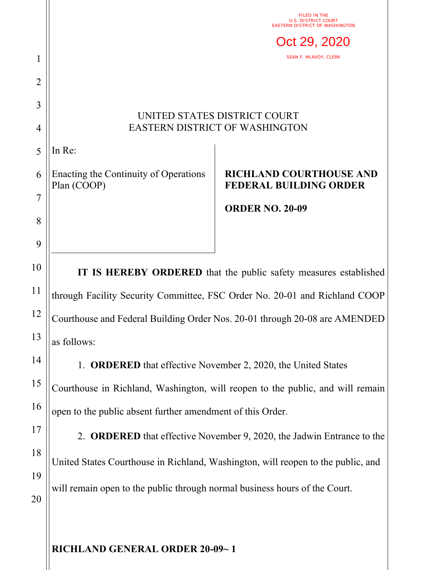|                |                                                                                  | FILED IN THE<br>U.S.<br><b>EASTERN DISTRICT OF WASHINGTON</b>   |
|----------------|----------------------------------------------------------------------------------|-----------------------------------------------------------------|
|                |                                                                                  | Oct 29, 2020                                                    |
| 1              |                                                                                  | <b>SEAN F. MCAVOY, CLERK</b>                                    |
| $\overline{2}$ |                                                                                  |                                                                 |
| 3              | UNITED STATES DISTRICT COURT<br><b>EASTERN DISTRICT OF WASHINGTON</b>            |                                                                 |
| 4              |                                                                                  |                                                                 |
| 5              | In Re:                                                                           |                                                                 |
| 6              | Enacting the Continuity of Operations<br>Plan (COOP)                             | <b>RICHLAND COURTHOUSE AND</b><br><b>FEDERAL BUILDING ORDER</b> |
| 7              |                                                                                  | <b>ORDER NO. 20-09</b>                                          |
| 8              |                                                                                  |                                                                 |
| 9              |                                                                                  |                                                                 |
| 10             | IT IS HEREBY ORDERED that the public safety measures established                 |                                                                 |
| 11             | through Facility Security Committee, FSC Order No. 20-01 and Richland COOP       |                                                                 |
| 12             | Courthouse and Federal Building Order Nos. 20-01 through 20-08 are AMENDED       |                                                                 |
| 13             | as follows:                                                                      |                                                                 |
| 14             | 1. ORDERED that effective November 2, 2020, the United States                    |                                                                 |
| 15             | Courthouse in Richland, Washington, will reopen to the public, and will remain   |                                                                 |
| 16             | open to the public absent further amendment of this Order.                       |                                                                 |
| 17             | 2. ORDERED that effective November 9, 2020, the Jadwin Entrance to the           |                                                                 |
| 18             | United States Courthouse in Richland, Washington, will reopen to the public, and |                                                                 |
| 19             |                                                                                  |                                                                 |
| 20             | will remain open to the public through normal business hours of the Court.       |                                                                 |
|                |                                                                                  |                                                                 |

**RICHLAND GENERAL ORDER 20-09~ 1**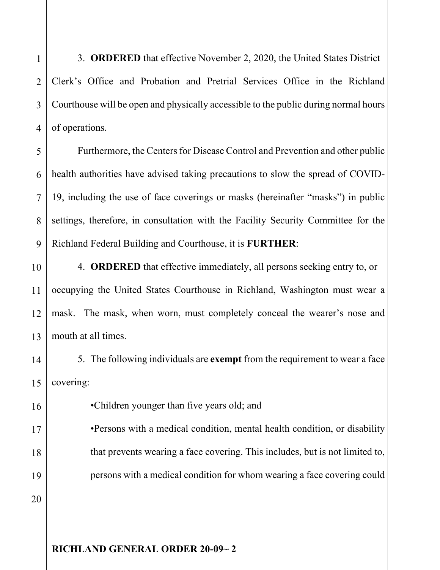3. **ORDERED** that effective November 2, 2020, the United States District Clerk's Office and Probation and Pretrial Services Office in the Richland Courthouse will be open and physically accessible to the public during normal hours of operations.

5 6 7 8 9 Furthermore, the Centers for Disease Control and Prevention and other public health authorities have advised taking precautions to slow the spread of COVID-19, including the use of face coverings or masks (hereinafter "masks") in public settings, therefore, in consultation with the Facility Security Committee for the Richland Federal Building and Courthouse, it is **FURTHER**:

4. **ORDERED** that effective immediately, all persons seeking entry to, or occupying the United States Courthouse in Richland, Washington must wear a mask. The mask, when worn, must completely conceal the wearer's nose and mouth at all times.

5. The following individuals are **exempt** from the requirement to wear a face covering:

•Children younger than five years old; and

•Persons with a medical condition, mental health condition, or disability that prevents wearing a face covering. This includes, but is not limited to, persons with a medical condition for whom wearing a face covering could

10

11

1

2

3

4

20

## **RICHLAND GENERAL ORDER 20-09~ 2**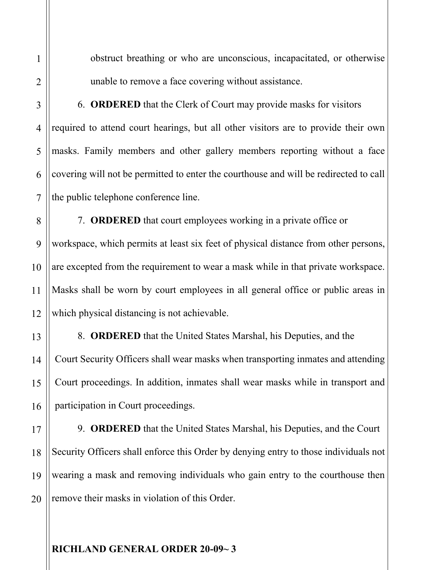1

2

obstruct breathing or who are unconscious, incapacitated, or otherwise unable to remove a face covering without assistance.

6. **ORDERED** that the Clerk of Court may provide masks for visitors required to attend court hearings, but all other visitors are to provide their own masks. Family members and other gallery members reporting without a face covering will not be permitted to enter the courthouse and will be redirected to call the public telephone conference line.

7. **ORDERED** that court employees working in a private office or workspace, which permits at least six feet of physical distance from other persons, are excepted from the requirement to wear a mask while in that private workspace. Masks shall be worn by court employees in all general office or public areas in which physical distancing is not achievable.

8. **ORDERED** that the United States Marshal, his Deputies, and the Court Security Officers shall wear masks when transporting inmates and attending Court proceedings. In addition, inmates shall wear masks while in transport and participation in Court proceedings.

20 9. **ORDERED** that the United States Marshal, his Deputies, and the Court Security Officers shall enforce this Order by denying entry to those individuals not wearing a mask and removing individuals who gain entry to the courthouse then remove their masks in violation of this Order.

## **RICHLAND GENERAL ORDER 20-09~ 3**